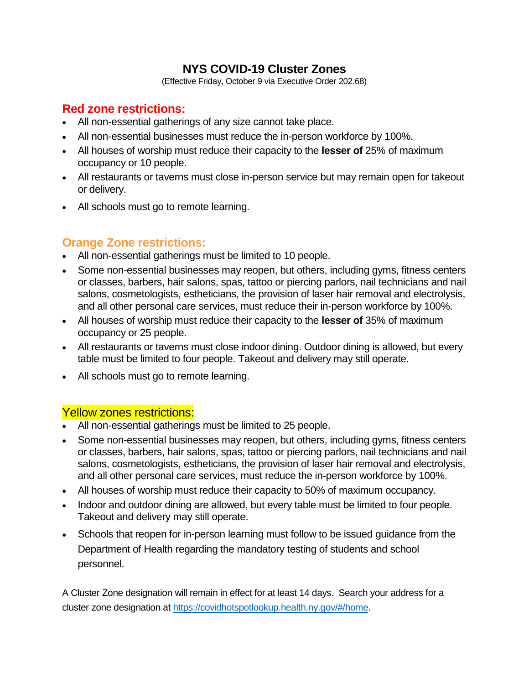#### **NYS COVID-19 Cluster Zones**

(Effective Friday, October 9 via Executive Order 202.68)

# **Red zone restrictions:**

- All non-essential gatherings of any size cannot take place.
- All non-essential businesses must reduce the in-person workforce by 100%.
- All houses of worship must reduce their capacity to the **lesser of** 25% of maximum occupancy or 10 people.
- All restaurants or taverns must close in-person service but may remain open for takeout or delivery.
- All schools must go to remote learning.

# **Orange Zone restrictions:**

- All non-essential gatherings must be limited to 10 people.
- Some non-essential businesses may reopen, but others, including gyms, fitness centers or classes, barbers, hair salons, spas, tattoo or piercing parlors, nail technicians and nail salons, cosmetologists, estheticians, the provision of laser hair removal and electrolysis, and all other personal care services, must reduce their in-person workforce by 100%.
- All houses of worship must reduce their capacity to the **lesser of** 35% of maximum occupancy or 25 people.
- All restaurants or taverns must close indoor dining. Outdoor dining is allowed, but every table must be limited to four people. Takeout and delivery may still operate.
- All schools must go to remote learning.

#### Yellow zones restrictions:

- All non-essential gatherings must be limited to 25 people.
- Some non-essential businesses may reopen, but others, including gyms, fitness centers or classes, barbers, hair salons, spas, tattoo or piercing parlors, nail technicians and nail salons, cosmetologists, estheticians, the provision of laser hair removal and electrolysis, and all other personal care services, must reduce the in-person workforce by 100%.
- All houses of worship must reduce their capacity to 50% of maximum occupancy.
- Indoor and outdoor dining are allowed, but every table must be limited to four people. Takeout and delivery may still operate.
- Schools that reopen for in-person learning must follow to be issued guidance from the Department of Health regarding the mandatory testing of students and school personnel.

A Cluster Zone designation will remain in effect for at least 14 days. Search your address for a cluster zone designation at [https://covidhotspotlookup.health.ny.gov/#/home.](https://covidhotspotlookup.health.ny.gov/#/home)